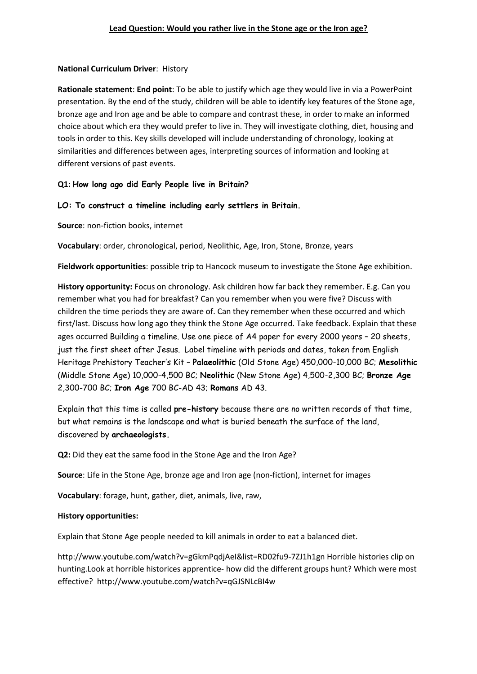# **National Curriculum Driver**: History

**Rationale statement**: **End point**: To be able to justify which age they would live in via a PowerPoint presentation. By the end of the study, children will be able to identify key features of the Stone age, bronze age and Iron age and be able to compare and contrast these, in order to make an informed choice about which era they would prefer to live in. They will investigate clothing, diet, housing and tools in order to this. Key skills developed will include understanding of chronology, looking at similarities and differences between ages, interpreting sources of information and looking at different versions of past events.

# **Q1: How long ago did Early People live in Britain?**

# **LO: To construct a timeline including early settlers in Britain.**

**Source**: non-fiction books, internet

**Vocabulary**: order, chronological, period, Neolithic, Age, Iron, Stone, Bronze, years

**Fieldwork opportunities**: possible trip to Hancock museum to investigate the Stone Age exhibition.

**History opportunity:** Focus on chronology. Ask children how far back they remember. E.g. Can you remember what you had for breakfast? Can you remember when you were five? Discuss with children the time periods they are aware of. Can they remember when these occurred and which first/last. Discuss how long ago they think the Stone Age occurred. Take feedback. Explain that these ages occurred Building a timeline. Use one piece of A4 paper for every 2000 years – 20 sheets, just the first sheet after Jesus. Label timeline with periods and dates, taken from English Heritage Prehistory Teacher's Kit – **Palaeolithic** (Old Stone Age) 450,000-10,000 BC; **Mesolithic** (Middle Stone Age) 10,000-4,500 BC; **Neolithic** (New Stone Age) 4,500-2,300 BC; **Bronze Age** 2,300-700 BC; **Iron Age** 700 BC-AD 43; **Romans** AD 43.

Explain that this time is called **pre-history** because there are no written records of that time, but what remains is the landscape and what is buried beneath the surface of the land, discovered by **archaeologists.**

**Q2:** Did they eat the same food in the Stone Age and the Iron Age?

**Source**: Life in the Stone Age, bronze age and Iron age (non-fiction), internet for images

**Vocabulary**: forage, hunt, gather, diet, animals, live, raw,

#### **History opportunities:**

Explain that Stone Age people needed to kill animals in order to eat a balanced diet.

http://www.youtube.com/watch?v=gGkmPqdjAeI&list=RD02fu9-7ZJ1h1gn Horrible histories clip on hunting.Look at horrible historices apprentice- how did the different groups hunt? Which were most effective? http://www.youtube.com/watch?v=qGJSNLcBI4w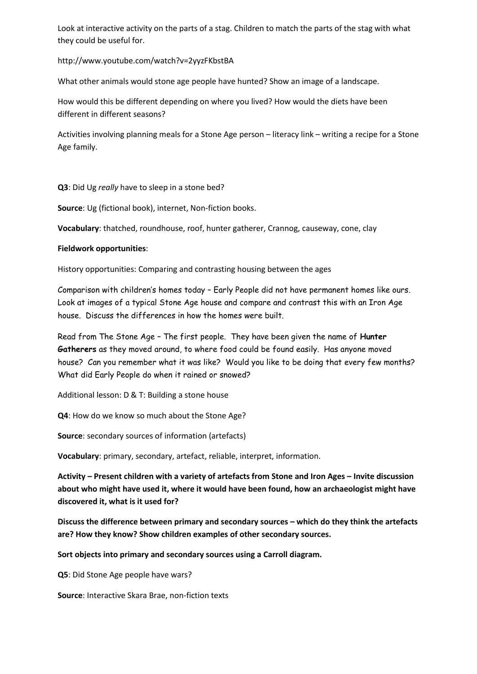Look at interactive activity on the parts of a stag. Children to match the parts of the stag with what they could be useful for.

http://www.youtube.com/watch?v=2yyzFKbstBA

What other animals would stone age people have hunted? Show an image of a landscape.

How would this be different depending on where you lived? How would the diets have been different in different seasons?

Activities involving planning meals for a Stone Age person – literacy link – writing a recipe for a Stone Age family.

**Q3**: Did Ug *really* have to sleep in a stone bed?

**Source**: Ug (fictional book), internet, Non-fiction books.

**Vocabulary**: thatched, roundhouse, roof, hunter gatherer, Crannog, causeway, cone, clay

#### **Fieldwork opportunities**:

History opportunities: Comparing and contrasting housing between the ages

Comparison with children's homes today – Early People did not have permanent homes like ours. Look at images of a typical Stone Age house and compare and contrast this with an Iron Age house. Discuss the differences in how the homes were built.

Read from The Stone Age – The first people. They have been given the name of **Hunter Gatherers** as they moved around, to where food could be found easily. Has anyone moved house? Can you remember what it was like? Would you like to be doing that every few months? What did Early People do when it rained or snowed?

Additional lesson: D & T: Building a stone house

**Q4**: How do we know so much about the Stone Age?

**Source**: secondary sources of information (artefacts)

**Vocabulary**: primary, secondary, artefact, reliable, interpret, information.

**Activity – Present children with a variety of artefacts from Stone and Iron Ages – Invite discussion about who might have used it, where it would have been found, how an archaeologist might have discovered it, what is it used for?**

**Discuss the difference between primary and secondary sources – which do they think the artefacts are? How they know? Show children examples of other secondary sources.**

**Sort objects into primary and secondary sources using a Carroll diagram.**

**Q5**: Did Stone Age people have wars?

**Source**: Interactive Skara Brae, non-fiction texts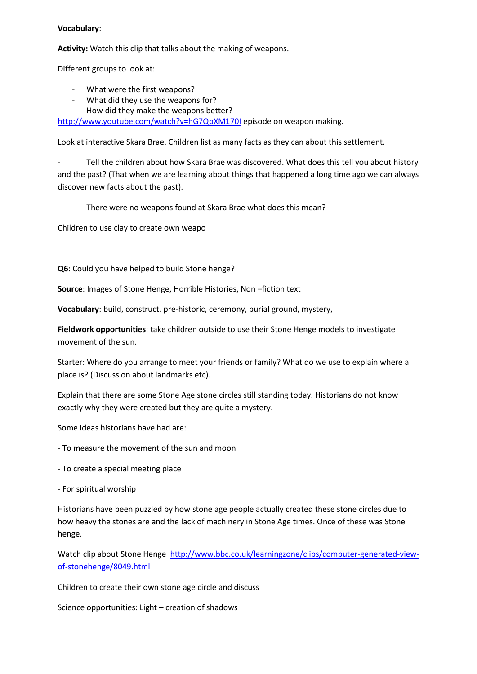#### **Vocabulary**:

**Activity:** Watch this clip that talks about the making of weapons.

Different groups to look at:

- What were the first weapons?
- What did they use the weapons for?
- How did they make the weapons better?

<http://www.youtube.com/watch?v=hG7QpXM170I> episode on weapon making.

Look at interactive Skara Brae. Children list as many facts as they can about this settlement.

Tell the children about how Skara Brae was discovered. What does this tell you about history and the past? (That when we are learning about things that happened a long time ago we can always discover new facts about the past).

There were no weapons found at Skara Brae what does this mean?

Children to use clay to create own weapo

**Q6**: Could you have helped to build Stone henge?

**Source**: Images of Stone Henge, Horrible Histories, Non –fiction text

**Vocabulary**: build, construct, pre-historic, ceremony, burial ground, mystery,

**Fieldwork opportunities**: take children outside to use their Stone Henge models to investigate movement of the sun.

Starter: Where do you arrange to meet your friends or family? What do we use to explain where a place is? (Discussion about landmarks etc).

Explain that there are some Stone Age stone circles still standing today. Historians do not know exactly why they were created but they are quite a mystery.

Some ideas historians have had are:

- To measure the movement of the sun and moon
- To create a special meeting place
- For spiritual worship

Historians have been puzzled by how stone age people actually created these stone circles due to how heavy the stones are and the lack of machinery in Stone Age times. Once of these was Stone henge.

Watch clip about Stone Henge [http://www.bbc.co.uk/learningzone/clips/computer-generated-view](http://www.bbc.co.uk/learningzone/clips/computer-generated-view-of-stonehenge/8049.html)[of-stonehenge/8049.html](http://www.bbc.co.uk/learningzone/clips/computer-generated-view-of-stonehenge/8049.html)

Children to create their own stone age circle and discuss

Science opportunities: Light – creation of shadows